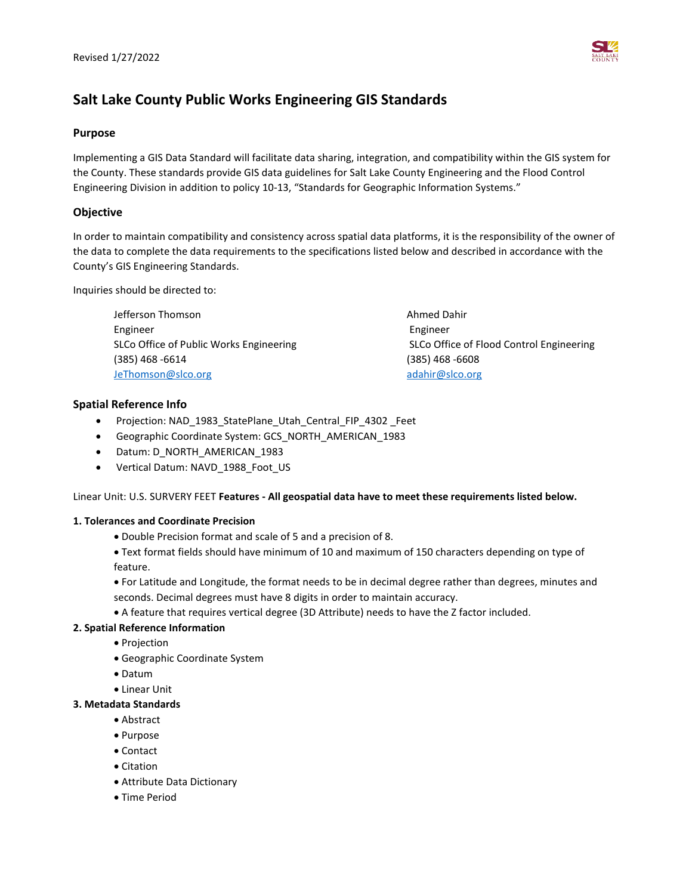## **Salt Lake County Public Works Engineering GIS Standards**

#### **Purpose**

Implementing a GIS Data Standard will facilitate data sharing, integration, and compatibility within the GIS system for the County. These standards provide GIS data guidelines for Salt Lake County Engineering and the Flood Control Engineering Division in addition to policy 10-13, "Standards for Geographic Information Systems."

## **Objective**

In order to maintain compatibility and consistency across spatial data platforms, it is the responsibility of the owner of the data to complete the data requirements to the specifications listed below and described in accordance with the County's GIS Engineering Standards.

Inquiries should be directed to:

| Jefferson Thomson                       | Ahmed Dahir                              |
|-----------------------------------------|------------------------------------------|
| Engineer                                | Engineer                                 |
| SLCo Office of Public Works Engineering | SLCo Office of Flood Control Engineering |
| $(385)$ 468 -6614                       | $(385)$ 468 -6608                        |
| JeThomson@slco.org                      | adahir@slco.org                          |

## **Spatial Reference Info**

- Projection: NAD\_1983\_StatePlane\_Utah\_Central\_FIP\_4302 \_Feet
- Geographic Coordinate System: GCS\_NORTH\_AMERICAN\_1983
- Datum: D\_NORTH\_AMERICAN\_1983
- Vertical Datum: NAVD 1988 Foot US

Linear Unit: U.S. SURVERY FEET **Features - All geospatial data have to meet these requirements listed below.**

#### **1. Tolerances and Coordinate Precision**

• Double Precision format and scale of 5 and a precision of 8.

• Text format fields should have minimum of 10 and maximum of 150 characters depending on type of feature.

• For Latitude and Longitude, the format needs to be in decimal degree rather than degrees, minutes and seconds. Decimal degrees must have 8 digits in order to maintain accuracy.

• A feature that requires vertical degree (3D Attribute) needs to have the Z factor included.

#### **2. Spatial Reference Information**

- Projection
- Geographic Coordinate System
- Datum
- Linear Unit

## **3. Metadata Standards**

- Abstract
- Purpose
- Contact
- Citation
- Attribute Data Dictionary
- Time Period

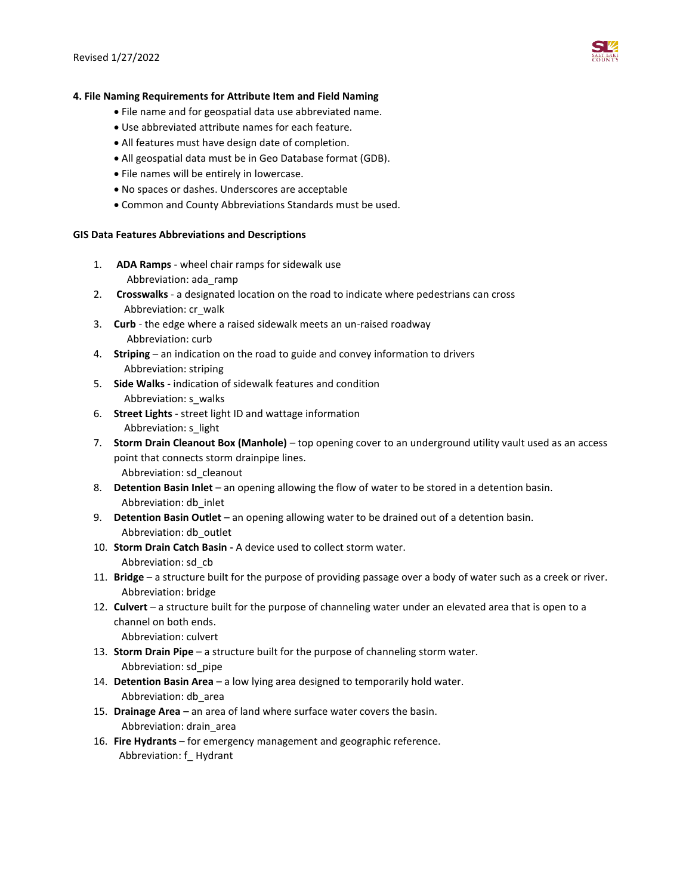

#### **4. File Naming Requirements for Attribute Item and Field Naming**

- File name and for geospatial data use abbreviated name.
- Use abbreviated attribute names for each feature.
- All features must have design date of completion.
- All geospatial data must be in Geo Database format (GDB).
- File names will be entirely in lowercase.
- No spaces or dashes. Underscores are acceptable
- Common and County Abbreviations Standards must be used.

#### **GIS Data Features Abbreviations and Descriptions**

- 1. **ADA Ramps** wheel chair ramps for sidewalk use Abbreviation: ada\_ramp
- 2. **Crosswalks** a designated location on the road to indicate where pedestrians can cross Abbreviation: cr\_walk
- 3. **Curb** the edge where a raised sidewalk meets an un-raised roadway Abbreviation: curb
- 4. **Striping** an indication on the road to guide and convey information to drivers Abbreviation: striping
- 5. **Side Walks** indication of sidewalk features and condition Abbreviation: s\_walks
- 6. **Street Lights** street light ID and wattage information Abbreviation: s\_light
- 7. **Storm Drain Cleanout Box (Manhole)** top opening cover to an underground utility vault used as an access point that connects storm drainpipe lines. Abbreviation: sd\_cleanout
- 8. **Detention Basin Inlet** an opening allowing the flow of water to be stored in a detention basin. Abbreviation: db\_inlet
- 9. **Detention Basin Outlet** an opening allowing water to be drained out of a detention basin. Abbreviation: db\_outlet
- 10. **Storm Drain Catch Basin -** A device used to collect storm water. Abbreviation: sd\_cb
- 11. **Bridge** a structure built for the purpose of providing passage over a body of water such as a creek or river. Abbreviation: bridge
- 12. **Culvert** a structure built for the purpose of channeling water under an elevated area that is open to a channel on both ends. Abbreviation: culvert
- 13. **Storm Drain Pipe** a structure built for the purpose of channeling storm water. Abbreviation: sd\_pipe
- 14. **Detention Basin Area** a low lying area designed to temporarily hold water. Abbreviation: db\_area
- 15. **Drainage Area** an area of land where surface water covers the basin. Abbreviation: drain\_area
- 16. **Fire Hydrants** for emergency management and geographic reference. Abbreviation: f\_ Hydrant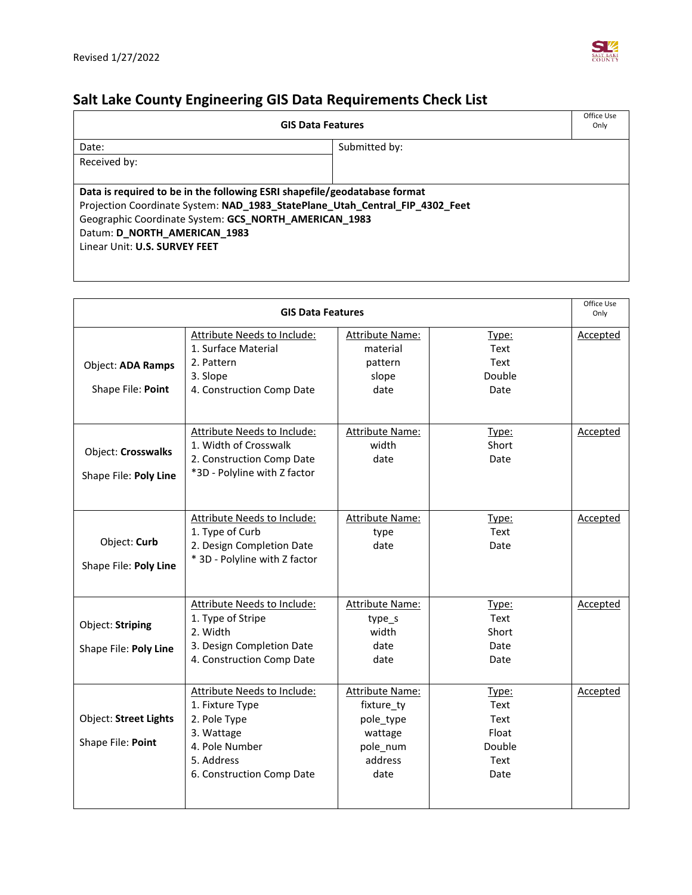

# **Salt Lake County Engineering GIS Data Requirements Check List**

| <b>GIS Data Features</b>                                                     |               |  |
|------------------------------------------------------------------------------|---------------|--|
| Date:                                                                        | Submitted by: |  |
| Received by:                                                                 |               |  |
|                                                                              |               |  |
| Data is required to be in the following ESRI shapefile/geodatabase format    |               |  |
| Projection Coordinate System: NAD_1983_StatePlane_Utah_Central_FIP_4302_Feet |               |  |
| Geographic Coordinate System: GCS_NORTH_AMERICAN_1983                        |               |  |
| Datum: D_NORTH_AMERICAN_1983                                                 |               |  |
| Linear Unit: U.S. SURVEY FEET                                                |               |  |
|                                                                              |               |  |

| <b>GIS Data Features</b>                          |                                                                                                                                           |                                                                                             |                                                          | Office Use<br>Only |
|---------------------------------------------------|-------------------------------------------------------------------------------------------------------------------------------------------|---------------------------------------------------------------------------------------------|----------------------------------------------------------|--------------------|
| <b>Object: ADA Ramps</b><br>Shape File: Point     | <b>Attribute Needs to Include:</b><br>1. Surface Material<br>2. Pattern<br>3. Slope<br>4. Construction Comp Date                          | <b>Attribute Name:</b><br>material<br>pattern<br>slope<br>date                              | Type:<br>Text<br>Text<br>Double<br>Date                  | <b>Accepted</b>    |
| Object: Crosswalks<br>Shape File: Poly Line       | Attribute Needs to Include:<br>1. Width of Crosswalk<br>2. Construction Comp Date<br>*3D - Polyline with Z factor                         | <b>Attribute Name:</b><br>width<br>date                                                     | Type:<br>Short<br>Date                                   | Accepted           |
| Object: Curb<br>Shape File: Poly Line             | Attribute Needs to Include:<br>1. Type of Curb<br>2. Design Completion Date<br>* 3D - Polyline with Z factor                              | <b>Attribute Name:</b><br>type<br>date                                                      | Type:<br>Text<br>Date                                    | <b>Accepted</b>    |
| Object: Striping<br>Shape File: Poly Line         | <b>Attribute Needs to Include:</b><br>1. Type of Stripe<br>2. Width<br>3. Design Completion Date<br>4. Construction Comp Date             | <b>Attribute Name:</b><br>type_s<br>width<br>date<br>date                                   | Type:<br>Text<br>Short<br>Date<br>Date                   | Accepted           |
| <b>Object: Street Lights</b><br>Shape File: Point | Attribute Needs to Include:<br>1. Fixture Type<br>2. Pole Type<br>3. Wattage<br>4. Pole Number<br>5. Address<br>6. Construction Comp Date | <b>Attribute Name:</b><br>fixture ty<br>pole_type<br>wattage<br>pole_num<br>address<br>date | Type:<br>Text<br>Text<br>Float<br>Double<br>Text<br>Date | Accepted           |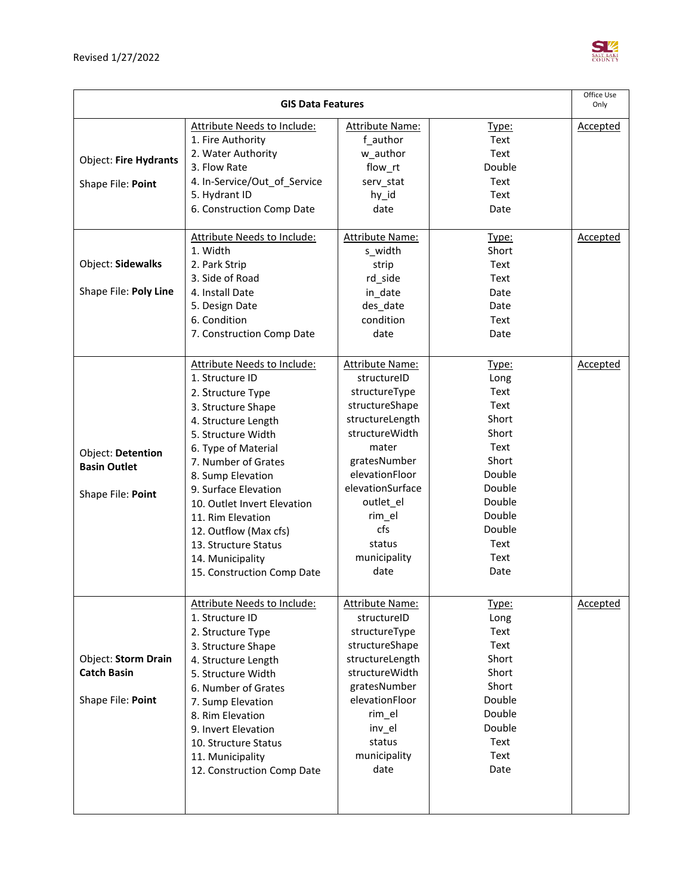

| <b>GIS Data Features</b> |                                                  |                             | Office Use<br>Only   |                 |
|--------------------------|--------------------------------------------------|-----------------------------|----------------------|-----------------|
|                          | Attribute Needs to Include:<br>1. Fire Authority | Attribute Name:<br>f author | <u>Type:</u><br>Text | <b>Accepted</b> |
|                          | 2. Water Authority                               | w_author                    | Text                 |                 |
| Object: Fire Hydrants    | 3. Flow Rate                                     | flow_rt                     | Double               |                 |
| Shape File: Point        | 4. In-Service/Out_of_Service                     | serv_stat                   | Text                 |                 |
|                          | 5. Hydrant ID                                    | hy_id                       | Text                 |                 |
|                          | 6. Construction Comp Date                        | date                        | Date                 |                 |
|                          |                                                  |                             |                      |                 |
|                          | Attribute Needs to Include:                      | <b>Attribute Name:</b>      | Type:                | Accepted        |
|                          | 1. Width                                         | s_width                     | Short                |                 |
| Object: Sidewalks        | 2. Park Strip                                    | strip                       | Text                 |                 |
|                          | 3. Side of Road                                  | rd_side                     | Text                 |                 |
| Shape File: Poly Line    | 4. Install Date                                  | in_date                     | Date                 |                 |
|                          | 5. Design Date                                   | des_date                    | Date                 |                 |
|                          | 6. Condition                                     | condition                   | Text                 |                 |
|                          | 7. Construction Comp Date                        | date                        | Date                 |                 |
|                          |                                                  |                             |                      |                 |
|                          | Attribute Needs to Include:                      | <b>Attribute Name:</b>      | Type:                | <b>Accepted</b> |
|                          | 1. Structure ID                                  | structureID                 | Long                 |                 |
|                          | 2. Structure Type                                | structureType               | Text                 |                 |
|                          | 3. Structure Shape                               | structureShape              | Text                 |                 |
|                          | 4. Structure Length                              | structureLength             | Short                |                 |
|                          | 5. Structure Width                               | structureWidth              | Short                |                 |
| Object: Detention        | 6. Type of Material                              | mater                       | Text                 |                 |
| <b>Basin Outlet</b>      | 7. Number of Grates                              | gratesNumber                | Short                |                 |
|                          | 8. Sump Elevation                                | elevationFloor              | Double               |                 |
| Shape File: Point        | 9. Surface Elevation                             | elevationSurface            | Double               |                 |
|                          | 10. Outlet Invert Elevation                      | outlet_el                   | Double               |                 |
|                          | 11. Rim Elevation                                | rim_el                      | Double               |                 |
|                          | 12. Outflow (Max cfs)                            | cfs                         | Double               |                 |
|                          | 13. Structure Status                             | status                      | Text                 |                 |
|                          | 14. Municipality                                 | municipality                | Text                 |                 |
|                          | 15. Construction Comp Date                       | date                        | Date                 |                 |
|                          | <b>Attribute Needs to Include:</b>               | <b>Attribute Name:</b>      | <u>Type:</u>         | <b>Accepted</b> |
|                          | 1. Structure ID                                  | structureID                 | Long                 |                 |
|                          | 2. Structure Type                                | structureType               | Text                 |                 |
|                          | 3. Structure Shape                               | structureShape              | Text                 |                 |
| Object: Storm Drain      | 4. Structure Length                              | structureLength             | Short                |                 |
| <b>Catch Basin</b>       | 5. Structure Width                               | structureWidth              | Short                |                 |
|                          | 6. Number of Grates                              | gratesNumber                | Short                |                 |
| Shape File: Point        | 7. Sump Elevation                                | elevationFloor              | Double               |                 |
|                          | 8. Rim Elevation                                 | rim_el                      | Double               |                 |
|                          | 9. Invert Elevation                              | inv_el                      | Double               |                 |
|                          | 10. Structure Status                             | status                      | Text                 |                 |
|                          | 11. Municipality                                 | municipality                | Text                 |                 |
|                          | 12. Construction Comp Date                       | date                        | Date                 |                 |
|                          |                                                  |                             |                      |                 |
|                          |                                                  |                             |                      |                 |
|                          |                                                  |                             |                      |                 |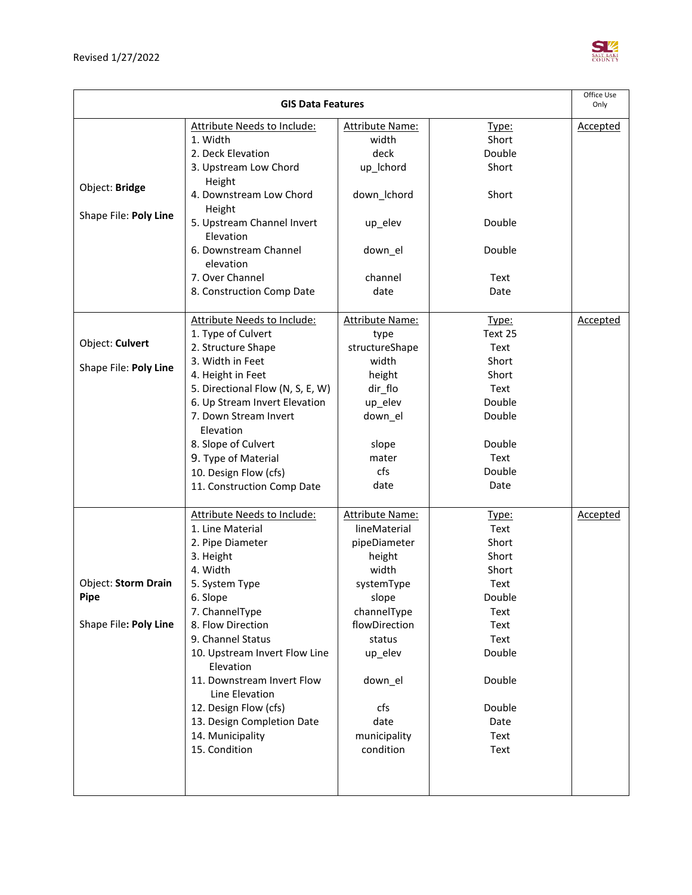

| <b>GIS Data Features</b>   |                                              |                        | Office Use<br>Only |                 |
|----------------------------|----------------------------------------------|------------------------|--------------------|-----------------|
|                            |                                              |                        |                    |                 |
|                            | <b>Attribute Needs to Include:</b>           | <b>Attribute Name:</b> | Type:              | <b>Accepted</b> |
|                            | 1. Width                                     | width                  | Short              |                 |
|                            | 2. Deck Elevation                            | deck                   | Double             |                 |
|                            | 3. Upstream Low Chord                        | up_Ichord              | Short              |                 |
| Object: Bridge             | Height                                       |                        |                    |                 |
|                            | 4. Downstream Low Chord                      | down_lchord            | Short              |                 |
| Shape File: Poly Line      | Height                                       |                        |                    |                 |
|                            | 5. Upstream Channel Invert<br>Elevation      | up_elev                | Double             |                 |
|                            | 6. Downstream Channel                        | down_el                | Double             |                 |
|                            | elevation                                    |                        |                    |                 |
|                            | 7. Over Channel                              | channel                | Text               |                 |
|                            | 8. Construction Comp Date                    | date                   | Date               |                 |
|                            |                                              |                        |                    |                 |
|                            | <b>Attribute Needs to Include:</b>           | <b>Attribute Name:</b> | <u>Type:</u>       | <b>Accepted</b> |
|                            | 1. Type of Culvert                           | type                   | Text 25            |                 |
| Object: Culvert            | 2. Structure Shape                           | structureShape         | Text               |                 |
|                            | 3. Width in Feet                             | width                  | Short              |                 |
| Shape File: Poly Line      | 4. Height in Feet                            | height                 | Short              |                 |
|                            | 5. Directional Flow (N, S, E, W)             | dir_flo                | Text               |                 |
|                            | 6. Up Stream Invert Elevation                | up_elev                | Double             |                 |
|                            | 7. Down Stream Invert                        | down_el                | Double             |                 |
|                            | Elevation                                    |                        |                    |                 |
|                            | 8. Slope of Culvert                          | slope                  | Double             |                 |
|                            | 9. Type of Material                          | mater                  | Text               |                 |
|                            | 10. Design Flow (cfs)                        | cfs                    | Double             |                 |
|                            | 11. Construction Comp Date                   | date                   | Date               |                 |
|                            | Attribute Needs to Include:                  | <b>Attribute Name:</b> | Type:              | Accepted        |
|                            | 1. Line Material                             | lineMaterial           | Text               |                 |
|                            | 2. Pipe Diameter                             | pipeDiameter           | Short              |                 |
|                            | 3. Height                                    | height                 | Short              |                 |
|                            | 4. Width                                     | width                  | Short              |                 |
| <b>Object: Storm Drain</b> | 5. System Type                               | systemType             | Text               |                 |
| Pipe                       | 6. Slope                                     | slope                  | Double             |                 |
|                            | 7. ChannelType                               | channelType            | Text               |                 |
| Shape File: Poly Line      | 8. Flow Direction                            | flowDirection          | Text               |                 |
|                            | 9. Channel Status                            | status                 | Text               |                 |
|                            | 10. Upstream Invert Flow Line                | up_elev                | Double             |                 |
|                            | Elevation                                    |                        |                    |                 |
|                            | 11. Downstream Invert Flow<br>Line Elevation | down el                | Double             |                 |
|                            | 12. Design Flow (cfs)                        | cfs                    | Double             |                 |
|                            | 13. Design Completion Date                   | date                   | Date               |                 |
|                            | 14. Municipality                             | municipality           | Text               |                 |
|                            | 15. Condition                                | condition              | Text               |                 |
|                            |                                              |                        |                    |                 |
|                            |                                              |                        |                    |                 |
|                            |                                              |                        |                    |                 |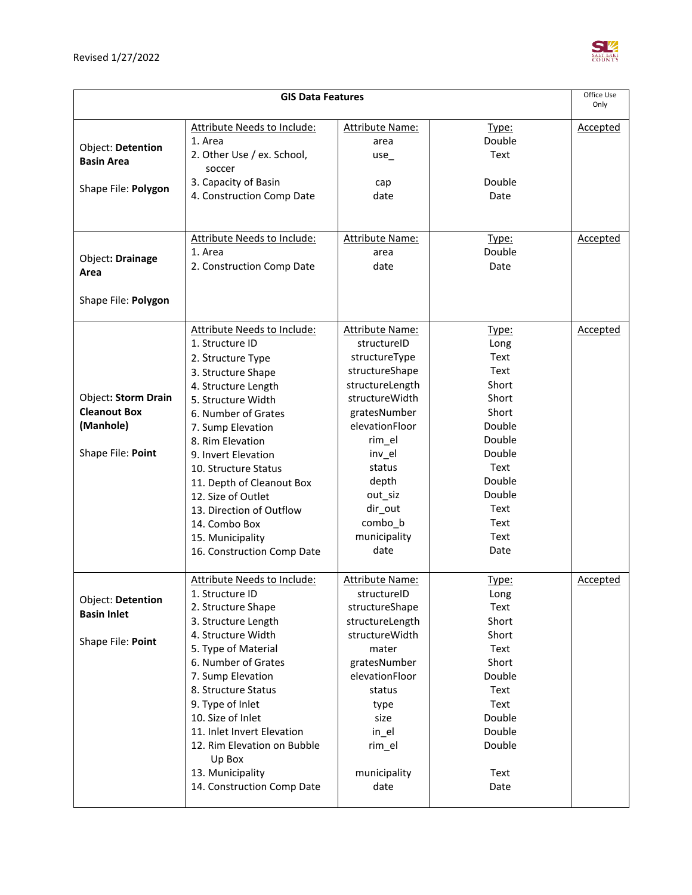

| <b>GIS Data Features</b>                          |                                               |                                | Office Use<br>Only |                 |
|---------------------------------------------------|-----------------------------------------------|--------------------------------|--------------------|-----------------|
|                                                   |                                               |                                |                    |                 |
|                                                   | <b>Attribute Needs to Include:</b><br>1. Area | <b>Attribute Name:</b>         | Type:<br>Double    | <u>Accepted</u> |
| Object: Detention                                 | 2. Other Use / ex. School,                    | area<br>$use_$                 | Text               |                 |
| <b>Basin Area</b>                                 | soccer                                        |                                |                    |                 |
|                                                   | 3. Capacity of Basin                          | cap                            | Double             |                 |
| Shape File: Polygon                               | 4. Construction Comp Date                     | date                           | Date               |                 |
|                                                   |                                               |                                |                    |                 |
|                                                   |                                               |                                |                    |                 |
|                                                   | Attribute Needs to Include:                   | <b>Attribute Name:</b>         | Type:              | <b>Accepted</b> |
| Object: Drainage                                  | 1. Area                                       | area                           | Double             |                 |
| Area                                              | 2. Construction Comp Date                     | date                           | Date               |                 |
| Shape File: Polygon                               |                                               |                                |                    |                 |
|                                                   |                                               |                                |                    |                 |
|                                                   | <b>Attribute Needs to Include:</b>            | Attribute Name:                | Type:              | <b>Accepted</b> |
|                                                   | 1. Structure ID                               | structureID                    | Long               |                 |
|                                                   | 2. Structure Type                             | structureType                  | Text               |                 |
|                                                   | 3. Structure Shape                            | structureShape                 | Text               |                 |
|                                                   | 4. Structure Length                           | structureLength                | Short              |                 |
| <b>Object: Storm Drain</b><br><b>Cleanout Box</b> | 5. Structure Width                            | structureWidth                 | Short              |                 |
| (Manhole)                                         | 6. Number of Grates                           | gratesNumber<br>elevationFloor | Short<br>Double    |                 |
|                                                   | 7. Sump Elevation<br>8. Rim Elevation         | rim_el                         | Double             |                 |
| Shape File: Point                                 | 9. Invert Elevation                           | inv_el                         | Double             |                 |
|                                                   | 10. Structure Status                          | status                         | Text               |                 |
|                                                   | 11. Depth of Cleanout Box                     | depth                          | Double             |                 |
|                                                   | 12. Size of Outlet                            | out_siz                        | Double             |                 |
|                                                   | 13. Direction of Outflow                      | dir_out                        | Text               |                 |
|                                                   | 14. Combo Box                                 | combo_b                        | Text               |                 |
|                                                   | 15. Municipality                              | municipality                   | Text               |                 |
|                                                   | 16. Construction Comp Date                    | date                           | Date               |                 |
|                                                   | <b>Attribute Needs to Include:</b>            | <b>Attribute Name:</b>         | Type:              | <b>Accepted</b> |
|                                                   | 1. Structure ID                               | structureID                    | Long               |                 |
| Object: Detention<br><b>Basin Inlet</b>           | 2. Structure Shape                            | structureShape                 | Text               |                 |
|                                                   | 3. Structure Length                           | structureLength                | Short              |                 |
| Shape File: Point                                 | 4. Structure Width                            | structureWidth                 | Short              |                 |
|                                                   | 5. Type of Material                           | mater                          | Text               |                 |
|                                                   | 6. Number of Grates                           | gratesNumber                   | Short              |                 |
|                                                   | 7. Sump Elevation                             | elevationFloor                 | Double             |                 |
|                                                   | 8. Structure Status                           | status                         | Text               |                 |
|                                                   | 9. Type of Inlet<br>10. Size of Inlet         | type<br>size                   | Text<br>Double     |                 |
|                                                   | 11. Inlet Invert Elevation                    | in_el                          | Double             |                 |
|                                                   | 12. Rim Elevation on Bubble                   | rim_el                         | Double             |                 |
|                                                   | Up Box                                        |                                |                    |                 |
|                                                   | 13. Municipality                              | municipality                   | Text               |                 |
|                                                   | 14. Construction Comp Date                    | date                           | Date               |                 |
|                                                   |                                               |                                |                    |                 |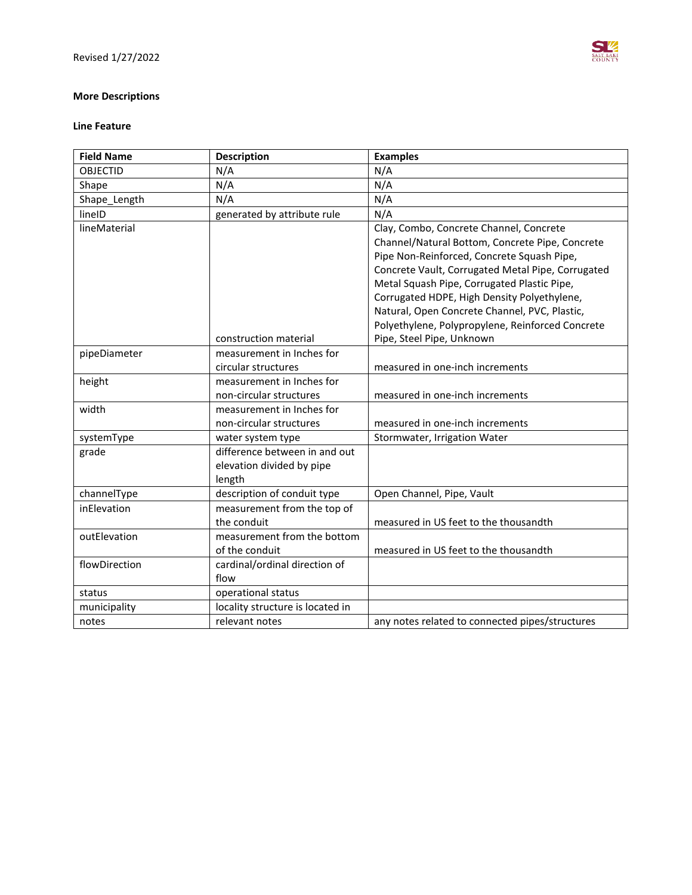## **More Descriptions**

#### **Line Feature**

| <b>Field Name</b> | <b>Description</b>               | <b>Examples</b>                                   |
|-------------------|----------------------------------|---------------------------------------------------|
| <b>OBJECTID</b>   | N/A                              | N/A                                               |
| Shape             | N/A                              | N/A                                               |
| Shape_Length      | N/A                              | N/A                                               |
| lineID            | generated by attribute rule      | N/A                                               |
| lineMaterial      |                                  | Clay, Combo, Concrete Channel, Concrete           |
|                   |                                  | Channel/Natural Bottom, Concrete Pipe, Concrete   |
|                   |                                  | Pipe Non-Reinforced, Concrete Squash Pipe,        |
|                   |                                  | Concrete Vault, Corrugated Metal Pipe, Corrugated |
|                   |                                  | Metal Squash Pipe, Corrugated Plastic Pipe,       |
|                   |                                  | Corrugated HDPE, High Density Polyethylene,       |
|                   |                                  | Natural, Open Concrete Channel, PVC, Plastic,     |
|                   |                                  | Polyethylene, Polypropylene, Reinforced Concrete  |
|                   | construction material            | Pipe, Steel Pipe, Unknown                         |
| pipeDiameter      | measurement in Inches for        |                                                   |
|                   | circular structures              | measured in one-inch increments                   |
| height            | measurement in Inches for        |                                                   |
|                   | non-circular structures          | measured in one-inch increments                   |
| width             | measurement in Inches for        |                                                   |
|                   | non-circular structures          | measured in one-inch increments                   |
| systemType        | water system type                | Stormwater, Irrigation Water                      |
| grade             | difference between in and out    |                                                   |
|                   | elevation divided by pipe        |                                                   |
|                   | length                           |                                                   |
| channelType       | description of conduit type      | Open Channel, Pipe, Vault                         |
| inElevation       | measurement from the top of      |                                                   |
|                   | the conduit                      | measured in US feet to the thousandth             |
| outElevation      | measurement from the bottom      |                                                   |
|                   | of the conduit                   | measured in US feet to the thousandth             |
| flowDirection     | cardinal/ordinal direction of    |                                                   |
|                   | flow                             |                                                   |
| status            | operational status               |                                                   |
| municipality      | locality structure is located in |                                                   |
| notes             | relevant notes                   | any notes related to connected pipes/structures   |